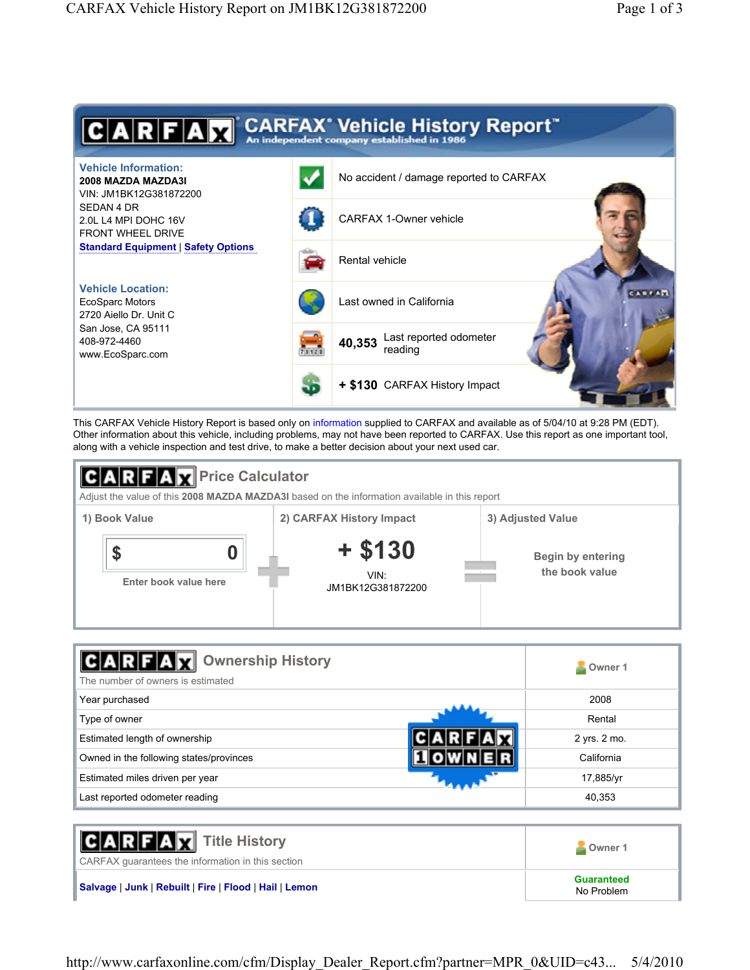

This CARFAX Vehicle History Report is based only on information supplied to CARFAX and available as of 5/04/10 at 9:28 PM (EDT). Other information about this vehicle, including problems, may not have been reported to CARFAX. Use this report as one important tool, along with a vehicle inspection and test drive, to make a better decision about your next used car.



| <b>Ownership History</b><br>$\mathbf{r}$<br>The number of owners is estimated | Owner 1      |
|-------------------------------------------------------------------------------|--------------|
| Year purchased                                                                | 2008         |
| Type of owner                                                                 | Rental       |
| Estimated length of ownership                                                 | 2 yrs. 2 mo. |
| Owned in the following states/provinces                                       | California   |
| Estimated miles driven per year                                               | 17,885/yr    |
| Last reported odometer reading                                                | 40,353       |

| <b>CARFAX</b> Title History<br>CARFAX guarantees the information in this section | Owner 1                         |
|----------------------------------------------------------------------------------|---------------------------------|
| Salvage   Junk   Rebuilt   Fire   Flood   Hail   Lemon                           | <b>Guaranteed</b><br>No Problem |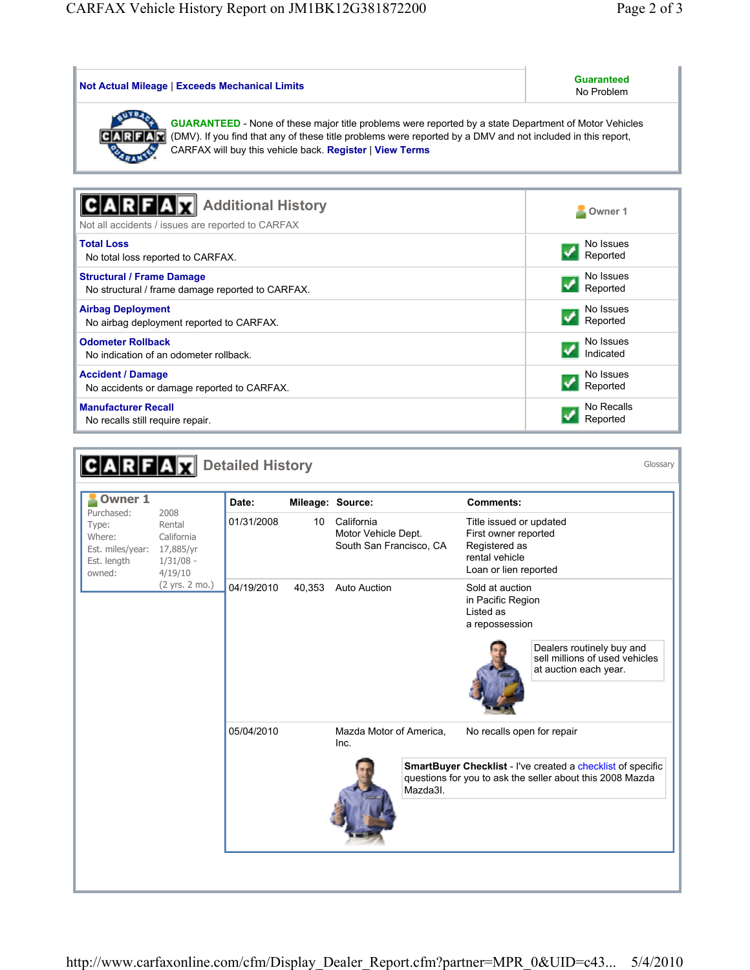| Not Actual Mileage   Exceeds Mechanical Limits                                                                                                                                                                                                                                                  | <b>Guaranteed</b><br>No Problem |  |  |  |
|-------------------------------------------------------------------------------------------------------------------------------------------------------------------------------------------------------------------------------------------------------------------------------------------------|---------------------------------|--|--|--|
| <b>GUARANTEED</b> - None of these major title problems were reported by a state Department of Motor Vehicles<br>CARF<br>(DMV). If you find that any of these title problems were reported by a DMV and not included in this report,<br>CARFAX will buy this vehicle back. Register   View Terms |                                 |  |  |  |
|                                                                                                                                                                                                                                                                                                 |                                 |  |  |  |
| <b>Additional History</b>                                                                                                                                                                                                                                                                       | Owner 1                         |  |  |  |
| Not all accidents / issues are reported to CARFAX                                                                                                                                                                                                                                               |                                 |  |  |  |
| <b>Total Loss</b>                                                                                                                                                                                                                                                                               | No Issues                       |  |  |  |
| No total loss reported to CARFAX.                                                                                                                                                                                                                                                               | Reported                        |  |  |  |
| <b>Structural / Frame Damage</b>                                                                                                                                                                                                                                                                | No Issues                       |  |  |  |
| No structural / frame damage reported to CARFAX.                                                                                                                                                                                                                                                | Reported                        |  |  |  |
| <b>Airbag Deployment</b>                                                                                                                                                                                                                                                                        | No Issues                       |  |  |  |
| No airbag deployment reported to CARFAX.                                                                                                                                                                                                                                                        | Reported                        |  |  |  |
| <b>Odometer Rollback</b>                                                                                                                                                                                                                                                                        | No Issues                       |  |  |  |
| No indication of an odometer rollback.                                                                                                                                                                                                                                                          | Indicated                       |  |  |  |
| <b>Accident / Damage</b>                                                                                                                                                                                                                                                                        | No Issues                       |  |  |  |
| No accidents or damage reported to CARFAX.                                                                                                                                                                                                                                                      | Reported                        |  |  |  |
| <b>Manufacturer Recall</b>                                                                                                                                                                                                                                                                      | No Recalls                      |  |  |  |
| No recalls still require repair.                                                                                                                                                                                                                                                                | Reported                        |  |  |  |

| <b>Owner 1</b><br>Purchased:<br>Type:<br>Where:<br>Est. miles/year:<br>Est. length<br>owned: | Date:<br><b>Comments:</b><br>Mileage: Source:<br>2008<br>01/31/2008<br>California<br>10 <sup>°</sup><br>Title issued or updated<br>Rental<br>Motor Vehicle Dept.<br>First owner reported<br>California<br>South San Francisco, CA<br>Registered as<br>17,885/yr<br>rental vehicle<br>$1/31/08$ -<br>Loan or lien reported<br>4/19/10<br>(2 yrs. 2 mo.)<br>04/19/2010<br><b>Auto Auction</b><br>40,353<br>Sold at auction<br>in Pacific Region<br>Listed as<br>a repossession |            |                                 |                                                                                      |
|----------------------------------------------------------------------------------------------|------------------------------------------------------------------------------------------------------------------------------------------------------------------------------------------------------------------------------------------------------------------------------------------------------------------------------------------------------------------------------------------------------------------------------------------------------------------------------|------------|---------------------------------|--------------------------------------------------------------------------------------|
|                                                                                              |                                                                                                                                                                                                                                                                                                                                                                                                                                                                              |            |                                 |                                                                                      |
|                                                                                              |                                                                                                                                                                                                                                                                                                                                                                                                                                                                              |            |                                 |                                                                                      |
|                                                                                              |                                                                                                                                                                                                                                                                                                                                                                                                                                                                              |            |                                 | Dealers routinely buy and<br>sell millions of used vehicles<br>at auction each year. |
|                                                                                              |                                                                                                                                                                                                                                                                                                                                                                                                                                                                              | 05/04/2010 | Mazda Motor of America,<br>Inc. | No recalls open for repair                                                           |
| Mazda3I.                                                                                     | SmartBuyer Checklist - I've created a checklist of specific<br>questions for you to ask the seller about this 2008 Mazda                                                                                                                                                                                                                                                                                                                                                     |            |                                 |                                                                                      |